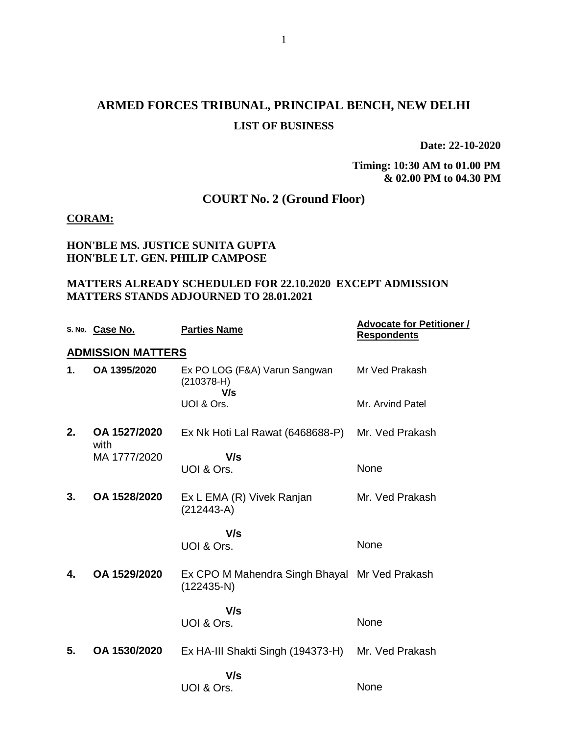## **ARMED FORCES TRIBUNAL, PRINCIPAL BENCH, NEW DELHI LIST OF BUSINESS**

**Date: 22-10-2020**

**Timing: 10:30 AM to 01.00 PM & 02.00 PM to 04.30 PM**

### **COURT No. 2 (Ground Floor)**

#### **CORAM:**

#### **HON'BLE MS. JUSTICE SUNITA GUPTA HON'BLE LT. GEN. PHILIP CAMPOSE**

#### **MATTERS ALREADY SCHEDULED FOR 22.10.2020 EXCEPT ADMISSION MATTERS STANDS ADJOURNED TO 28.01.2021**

|    | S. No. Case No.          | <b>Parties Name</b>                                           | <b>Advocate for Petitioner /</b><br><b>Respondents</b> |
|----|--------------------------|---------------------------------------------------------------|--------------------------------------------------------|
|    | <b>ADMISSION MATTERS</b> |                                                               |                                                        |
| 1. | OA 1395/2020             | Ex PO LOG (F&A) Varun Sangwan<br>$(210378-H)$<br>V/s          | Mr Ved Prakash                                         |
|    |                          | UOI & Ors.                                                    | Mr. Arvind Patel                                       |
| 2. | OA 1527/2020<br>with     | Ex Nk Hoti Lal Rawat (6468688-P)                              | Mr. Ved Prakash                                        |
|    | MA 1777/2020             | V/s<br>UOI & Ors.                                             | None                                                   |
| 3. | OA 1528/2020             | Ex L EMA (R) Vivek Ranjan<br>$(212443-A)$                     | Mr. Ved Prakash                                        |
|    |                          | V/s                                                           |                                                        |
|    |                          | UOI & Ors.                                                    | None                                                   |
| 4. | OA 1529/2020             | Ex CPO M Mahendra Singh Bhayal Mr Ved Prakash<br>$(122435-N)$ |                                                        |
|    |                          | V/s<br>UOI & Ors.                                             | None                                                   |
| 5. | OA 1530/2020             | Ex HA-III Shakti Singh (194373-H)                             | Mr. Ved Prakash                                        |
|    |                          | V/s                                                           |                                                        |
|    |                          | UOI & Ors.                                                    | None                                                   |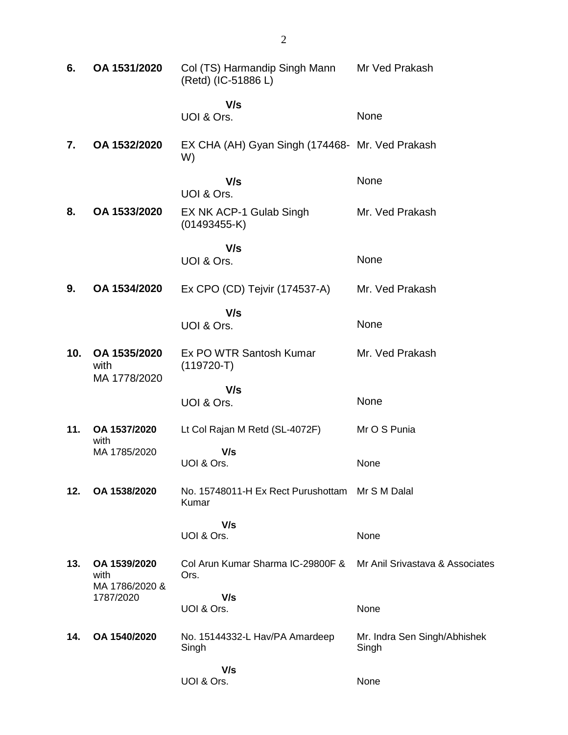| 6.  | OA 1531/2020                                        | Col (TS) Harmandip Singh Mann<br>(Retd) (IC-51886 L)     | Mr Ved Prakash                        |
|-----|-----------------------------------------------------|----------------------------------------------------------|---------------------------------------|
|     |                                                     | V/s<br>UOI & Ors.                                        | None                                  |
| 7.  | OA 1532/2020                                        | EX CHA (AH) Gyan Singh (174468- Mr. Ved Prakash<br>W)    |                                       |
|     |                                                     | V/s<br>UOI & Ors.                                        | None                                  |
| 8.  | OA 1533/2020                                        | EX NK ACP-1 Gulab Singh<br>$(01493455-K)$                | Mr. Ved Prakash                       |
|     |                                                     | V/s<br>UOI & Ors.                                        | None                                  |
| 9.  | OA 1534/2020                                        | Ex CPO (CD) Tejvir (174537-A)                            | Mr. Ved Prakash                       |
|     |                                                     | V/s<br>UOI & Ors.                                        | None                                  |
| 10. | OA 1535/2020<br>with<br>MA 1778/2020                | Ex PO WTR Santosh Kumar<br>$(119720-T)$                  | Mr. Ved Prakash                       |
|     |                                                     | V/s<br>UOI & Ors.                                        | None                                  |
| 11. | OA 1537/2020<br>with                                | Lt Col Rajan M Retd (SL-4072F)                           | Mr O S Punia                          |
|     | MA 1785/2020                                        | V/s<br>UOI & Ors.                                        | None                                  |
| 12. | OA 1538/2020                                        | No. 15748011-H Ex Rect Purushottam Mr S M Dalal<br>Kumar |                                       |
|     |                                                     | V/s<br>UOI & Ors.                                        | None                                  |
| 13. | OA 1539/2020<br>with<br>MA 1786/2020 &<br>1787/2020 | Col Arun Kumar Sharma IC-29800F &<br>Ors.                | Mr Anil Srivastava & Associates       |
|     |                                                     | V/s<br>UOI & Ors.                                        | None                                  |
| 14. | OA 1540/2020                                        | No. 15144332-L Hav/PA Amardeep<br>Singh                  | Mr. Indra Sen Singh/Abhishek<br>Singh |
|     |                                                     | V/s<br>UOI & Ors.                                        | None                                  |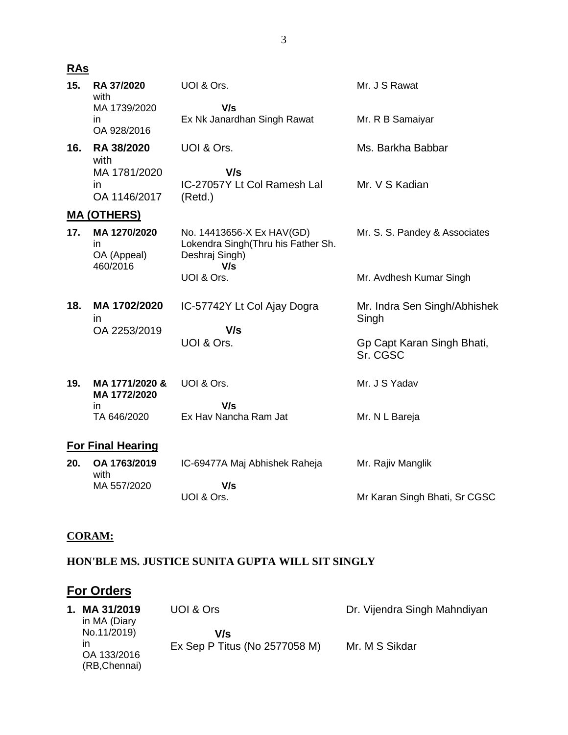## **RAs**

| 15.                      | RA 37/2020<br>with                            | UOI & Ors.                                                                               | Mr. J S Rawat                          |  |
|--------------------------|-----------------------------------------------|------------------------------------------------------------------------------------------|----------------------------------------|--|
|                          | MA 1739/2020<br>in.<br>OA 928/2016            | V/s<br>Ex Nk Janardhan Singh Rawat                                                       | Mr. R B Samaiyar                       |  |
| 16.                      | RA 38/2020<br>with                            | UOI & Ors.                                                                               | Ms. Barkha Babbar                      |  |
|                          | MA 1781/2020<br>$\mathsf{I}$<br>OA 1146/2017  | V/s<br>IC-27057Y Lt Col Ramesh Lal<br>(Retd.)                                            | Mr. V S Kadian                         |  |
|                          | <u>MA (OTHERS)</u>                            |                                                                                          |                                        |  |
| 17.                      | MA 1270/2020<br>in<br>OA (Appeal)<br>460/2016 | No. 14413656-X Ex HAV(GD)<br>Lokendra Singh(Thru his Father Sh.<br>Deshraj Singh)<br>V/s | Mr. S. S. Pandey & Associates          |  |
|                          |                                               | UOI & Ors.                                                                               | Mr. Avdhesh Kumar Singh                |  |
| 18.                      | MA 1702/2020<br>in.                           | IC-57742Y Lt Col Ajay Dogra<br>V/s                                                       | Mr. Indra Sen Singh/Abhishek<br>Singh  |  |
|                          | OA 2253/2019                                  | UOI & Ors.                                                                               | Gp Capt Karan Singh Bhati,<br>Sr. CGSC |  |
| 19.                      | MA 1771/2020 &<br>MA 1772/2020                | UOI & Ors.                                                                               | Mr. J S Yadav                          |  |
|                          | in<br>TA 646/2020                             | V/s<br>Ex Hav Nancha Ram Jat                                                             | Mr. N L Bareja                         |  |
| <b>For Final Hearing</b> |                                               |                                                                                          |                                        |  |
| 20.                      | OA 1763/2019<br>with                          | IC-69477A Maj Abhishek Raheja                                                            | Mr. Rajiv Manglik                      |  |
|                          | MA 557/2020                                   | V/s<br>UOI & Ors.                                                                        | Mr Karan Singh Bhati, Sr CGSC          |  |

#### **CORAM:**

## **HON'BLE MS. JUSTICE SUNITA GUPTA WILL SIT SINGLY**

# **For Orders**

| 1. MA 31/2019<br>in MA (Diary                     | UOI & Ors                            | Dr. Vijendra Singh Mahndiyan |
|---------------------------------------------------|--------------------------------------|------------------------------|
| No.11/2019)<br>ın<br>OA 133/2016<br>(RB, Chennai) | V/s<br>Ex Sep P Titus (No 2577058 M) | Mr. M S Sikdar               |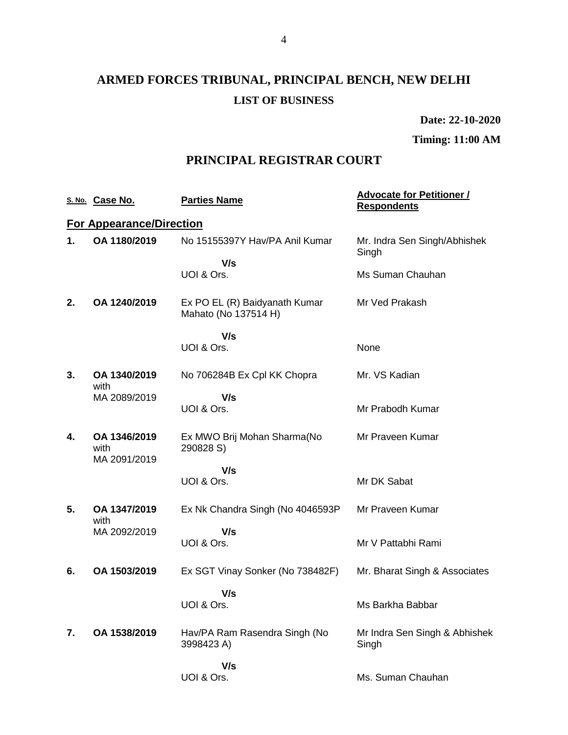# **ARMED FORCES TRIBUNAL, PRINCIPAL BENCH, NEW DELHI LIST OF BUSINESS**

**Date: 22-10-2020**

### **Timing: 11:00 AM**

### **PRINCIPAL REGISTRAR COURT**

|    | S. No. Case No.                 | <b>Parties Name</b>                                   | <b>Advocate for Petitioner /</b><br><b>Respondents</b> |
|----|---------------------------------|-------------------------------------------------------|--------------------------------------------------------|
|    | <b>For Appearance/Direction</b> |                                                       |                                                        |
| 1. | OA 1180/2019                    | No 15155397Y Hav/PA Anil Kumar                        | Mr. Indra Sen Singh/Abhishek<br>Singh                  |
|    |                                 | V/s<br>UOI & Ors.                                     | Ms Suman Chauhan                                       |
| 2. | OA 1240/2019                    | Ex PO EL (R) Baidyanath Kumar<br>Mahato (No 137514 H) | Mr Ved Prakash                                         |
|    |                                 | V/s<br>UOI & Ors.                                     | None                                                   |
| 3. | OA 1340/2019<br>with            | No 706284B Ex Cpl KK Chopra                           | Mr. VS Kadian                                          |
|    | MA 2089/2019                    | V/s<br>UOI & Ors.                                     | Mr Prabodh Kumar                                       |
| 4. | OA 1346/2019<br>with            | Ex MWO Brij Mohan Sharma(No<br>290828 S)              | Mr Praveen Kumar                                       |
|    | MA 2091/2019                    | V/s<br>UOI & Ors.                                     | Mr DK Sabat                                            |
| 5. | OA 1347/2019<br>with            | Ex Nk Chandra Singh (No 4046593P)                     | Mr Praveen Kumar                                       |
|    | MA 2092/2019                    | V/s<br>UOI & Ors.                                     | Mr V Pattabhi Rami                                     |
| 6. | OA 1503/2019                    | Ex SGT Vinay Sonker (No 738482F)                      | Mr. Bharat Singh & Associates                          |
|    |                                 | V/s<br>UOI & Ors.                                     | Ms Barkha Babbar                                       |
| 7. | OA 1538/2019                    | Hav/PA Ram Rasendra Singh (No<br>3998423 A)           | Mr Indra Sen Singh & Abhishek<br>Singh                 |
|    |                                 | V/s<br>UOI & Ors.                                     | Ms. Suman Chauhan                                      |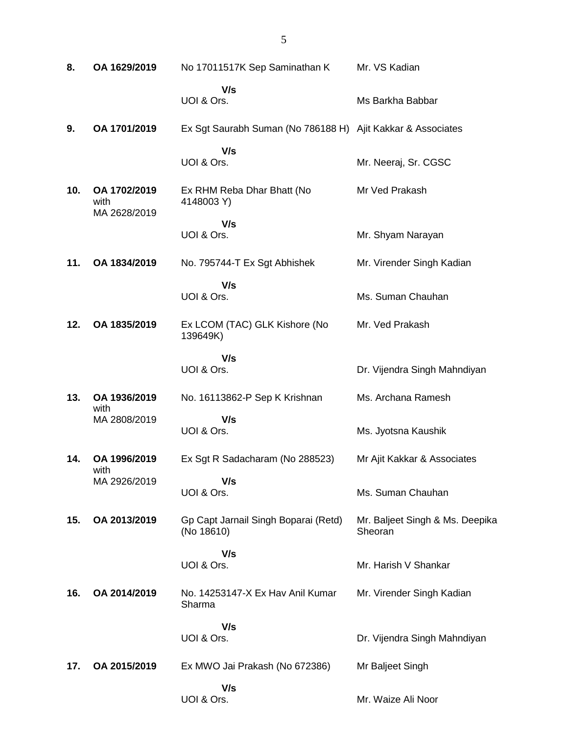| 8.  | OA 1629/2019                         | No 17011517K Sep Saminathan K                               | Mr. VS Kadian                              |
|-----|--------------------------------------|-------------------------------------------------------------|--------------------------------------------|
|     |                                      | V/s<br>UOI & Ors.                                           | Ms Barkha Babbar                           |
| 9.  | OA 1701/2019                         | Ex Sgt Saurabh Suman (No 786188 H) Ajit Kakkar & Associates |                                            |
|     |                                      | V/s<br>UOI & Ors.                                           | Mr. Neeraj, Sr. CGSC                       |
| 10. | OA 1702/2019<br>with<br>MA 2628/2019 | Ex RHM Reba Dhar Bhatt (No<br>4148003 Y)                    | Mr Ved Prakash                             |
|     |                                      | V/s<br>UOI & Ors.                                           | Mr. Shyam Narayan                          |
| 11. | OA 1834/2019                         | No. 795744-T Ex Sgt Abhishek                                | Mr. Virender Singh Kadian                  |
|     |                                      | V/s<br>UOI & Ors.                                           | Ms. Suman Chauhan                          |
| 12. | OA 1835/2019                         | Ex LCOM (TAC) GLK Kishore (No<br>139649K)                   | Mr. Ved Prakash                            |
|     |                                      | V/s<br>UOI & Ors.                                           | Dr. Vijendra Singh Mahndiyan               |
| 13. | OA 1936/2019<br>with                 | No. 16113862-P Sep K Krishnan                               | Ms. Archana Ramesh                         |
|     | MA 2808/2019                         | V/s<br>UOI & Ors.                                           | Ms. Jyotsna Kaushik                        |
| 14. | OA 1996/2019<br>with                 | Ex Sgt R Sadacharam (No 288523)                             | Mr Ajit Kakkar & Associates                |
|     | MA 2926/2019                         | V/s<br>UOI & Ors.                                           | Ms. Suman Chauhan                          |
| 15. | OA 2013/2019                         | Gp Capt Jarnail Singh Boparai (Retd)<br>(No 18610)          | Mr. Baljeet Singh & Ms. Deepika<br>Sheoran |
|     |                                      | V/s<br>UOI & Ors.                                           | Mr. Harish V Shankar                       |
| 16. | OA 2014/2019                         | No. 14253147-X Ex Hav Anil Kumar<br>Sharma                  | Mr. Virender Singh Kadian                  |
|     |                                      | V/s<br>UOI & Ors.                                           | Dr. Vijendra Singh Mahndiyan               |
|     |                                      |                                                             |                                            |
| 17. | OA 2015/2019                         | Ex MWO Jai Prakash (No 672386)                              | Mr Baljeet Singh                           |
|     |                                      | V/s<br>UOI & Ors.                                           | Mr. Waize Ali Noor                         |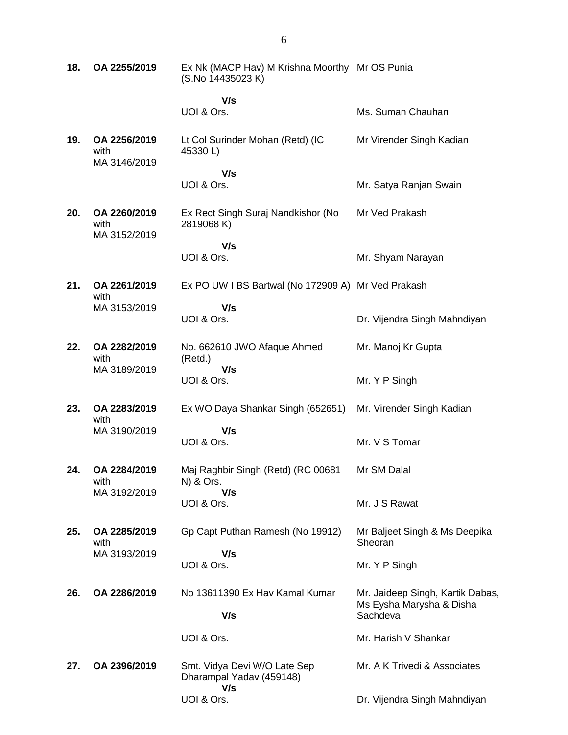| 18. | OA 2255/2019                         | Ex Nk (MACP Hav) M Krishna Moorthy Mr OS Punia<br>(S.No 14435023 K) |                                                              |
|-----|--------------------------------------|---------------------------------------------------------------------|--------------------------------------------------------------|
|     |                                      | V/s<br>UOI & Ors.                                                   | Ms. Suman Chauhan                                            |
| 19. | OA 2256/2019<br>with<br>MA 3146/2019 | Lt Col Surinder Mohan (Retd) (IC<br>45330L)                         | Mr Virender Singh Kadian                                     |
|     |                                      | V/s<br>UOI & Ors.                                                   | Mr. Satya Ranjan Swain                                       |
| 20. | OA 2260/2019<br>with<br>MA 3152/2019 | Ex Rect Singh Suraj Nandkishor (No<br>2819068 K)                    | Mr Ved Prakash                                               |
|     |                                      | V/s<br>UOI & Ors.                                                   | Mr. Shyam Narayan                                            |
| 21. | OA 2261/2019<br>with                 | Ex PO UW I BS Bartwal (No 172909 A) Mr Ved Prakash                  |                                                              |
|     | MA 3153/2019                         | V/s<br>UOI & Ors.                                                   | Dr. Vijendra Singh Mahndiyan                                 |
| 22. | OA 2282/2019<br>with<br>MA 3189/2019 | No. 662610 JWO Afaque Ahmed<br>(Retd.)<br>V/s                       | Mr. Manoj Kr Gupta                                           |
|     |                                      | UOI & Ors.                                                          | Mr. Y P Singh                                                |
| 23. | OA 2283/2019<br>with                 | Ex WO Daya Shankar Singh (652651)                                   | Mr. Virender Singh Kadian                                    |
|     | MA 3190/2019                         | V/s<br>UOI & Ors.                                                   | Mr. V S Tomar                                                |
| 24. | OA 2284/2019<br>with                 | Maj Raghbir Singh (Retd) (RC 00681<br>N) & Ors.                     | Mr SM Dalal                                                  |
|     | MA 3192/2019                         | V/s<br>UOI & Ors.                                                   | Mr. J S Rawat                                                |
| 25. | OA 2285/2019<br>with                 | Gp Capt Puthan Ramesh (No 19912)                                    | Mr Baljeet Singh & Ms Deepika<br>Sheoran                     |
|     | MA 3193/2019                         | V/s<br>UOI & Ors.                                                   | Mr. Y P Singh                                                |
| 26. | OA 2286/2019                         | No 13611390 Ex Hav Kamal Kumar                                      | Mr. Jaideep Singh, Kartik Dabas,<br>Ms Eysha Marysha & Disha |
|     |                                      | V/s                                                                 | Sachdeva                                                     |
|     |                                      | UOI & Ors.                                                          | Mr. Harish V Shankar                                         |
| 27. | OA 2396/2019                         | Smt. Vidya Devi W/O Late Sep<br>Dharampal Yadav (459148)<br>V/s     | Mr. A K Trivedi & Associates                                 |
|     |                                      | UOI & Ors.                                                          | Dr. Vijendra Singh Mahndiyan                                 |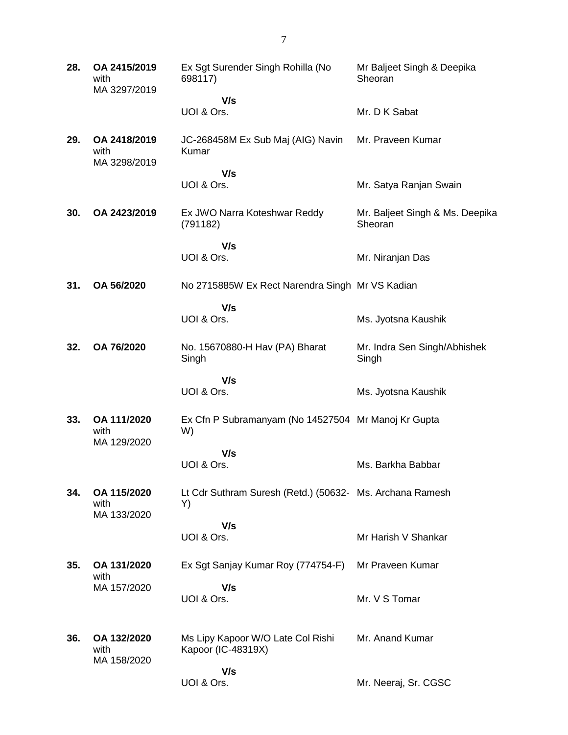| 28. | OA 2415/2019<br>with<br>MA 3297/2019 | Ex Sgt Surender Singh Rohilla (No<br>698117)                   | Mr Baljeet Singh & Deepika<br>Sheoran      |
|-----|--------------------------------------|----------------------------------------------------------------|--------------------------------------------|
|     |                                      | V/s<br>UOI & Ors.                                              | Mr. D K Sabat                              |
| 29. | OA 2418/2019<br>with                 | JC-268458M Ex Sub Maj (AIG) Navin<br>Kumar                     | Mr. Praveen Kumar                          |
|     | MA 3298/2019                         | V/s                                                            |                                            |
|     |                                      | UOI & Ors.                                                     | Mr. Satya Ranjan Swain                     |
| 30. | OA 2423/2019                         | Ex JWO Narra Koteshwar Reddy<br>(791182)                       | Mr. Baljeet Singh & Ms. Deepika<br>Sheoran |
|     |                                      | V/s<br>UOI & Ors.                                              | Mr. Niranjan Das                           |
| 31. | OA 56/2020                           | No 2715885W Ex Rect Narendra Singh Mr VS Kadian                |                                            |
|     |                                      | V/s                                                            |                                            |
|     |                                      | UOI & Ors.                                                     | Ms. Jyotsna Kaushik                        |
| 32. | OA 76/2020                           | No. 15670880-H Hav (PA) Bharat<br>Singh                        | Mr. Indra Sen Singh/Abhishek<br>Singh      |
|     |                                      | V/s<br>UOI & Ors.                                              | Ms. Jyotsna Kaushik                        |
| 33. | OA 111/2020<br>with<br>MA 129/2020   | Ex Cfn P Subramanyam (No 14527504 Mr Manoj Kr Gupta<br>W)      |                                            |
|     |                                      | V/s                                                            |                                            |
|     |                                      | UOI & Ors.                                                     | Ms. Barkha Babbar                          |
| 34. | OA 115/2020<br>with<br>MA 133/2020   | Lt Cdr Suthram Suresh (Retd.) (50632- Ms. Archana Ramesh<br>Y) |                                            |
|     |                                      | V/s                                                            |                                            |
|     |                                      | UOI & Ors.                                                     | Mr Harish V Shankar                        |
| 35. | OA 131/2020<br>with                  | Ex Sgt Sanjay Kumar Roy (774754-F)                             | Mr Praveen Kumar                           |
|     | MA 157/2020                          | V/s                                                            |                                            |
|     |                                      | UOI & Ors.                                                     | Mr. V S Tomar                              |
| 36. | OA 132/2020<br>with<br>MA 158/2020   | Ms Lipy Kapoor W/O Late Col Rishi<br>Kapoor (IC-48319X)        | Mr. Anand Kumar                            |
|     |                                      | V/s                                                            |                                            |
|     |                                      | UOI & Ors.                                                     | Mr. Neeraj, Sr. CGSC                       |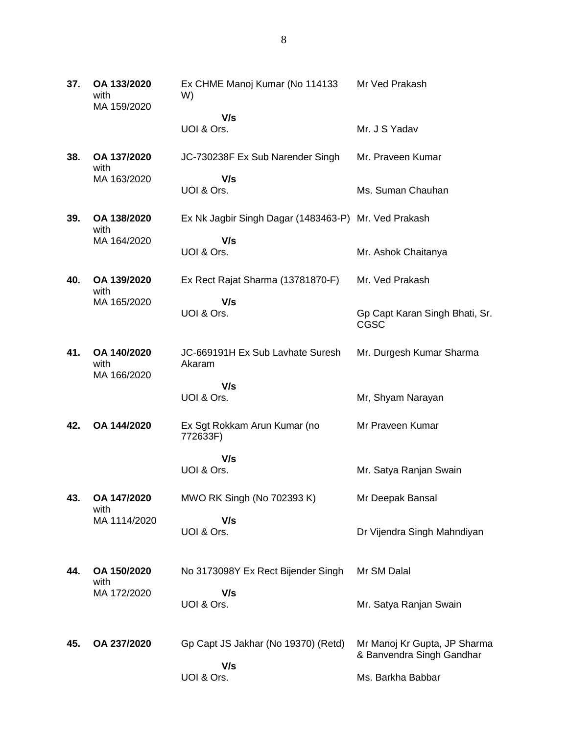**37. OA 133/2020** with MA 159/2020 Ex CHME Manoj Kumar (No 114133 W)  **V/s** UOI & Ors. Mr Ved Prakash Mr. J S Yadav **38. OA 137/2020** with MA 163/2020 JC-730238F Ex Sub Narender Singh  **V/s** UOI & Ors. Mr. Praveen Kumar Ms. Suman Chauhan **39. OA 138/2020** with MA 164/2020 Ex Nk Jagbir Singh Dagar (1483463-P) Mr. Ved Prakash  **V/s** UOI & Ors. Mr. Ashok Chaitanya **40. OA 139/2020** with MA 165/2020 Ex Rect Rajat Sharma (13781870-F)  **V/s** UOI & Ors. Mr. Ved Prakash Gp Capt Karan Singh Bhati, Sr. CGSC **41. OA 140/2020** with MA 166/2020 JC-669191H Ex Sub Lavhate Suresh Akaram  **V/s** UOI & Ors. Mr. Durgesh Kumar Sharma Mr, Shyam Narayan **42. OA 144/2020** Ex Sgt Rokkam Arun Kumar (no 772633F)  **V/s** UOI & Ors. Mr Praveen Kumar Mr. Satya Ranjan Swain **43. OA 147/2020** with MA 1114/2020 MWO RK Singh (No 702393 K)  **V/s** UOI & Ors. Mr Deepak Bansal Dr Vijendra Singh Mahndiyan **44. OA 150/2020** with MA 172/2020 No 3173098Y Ex Rect Bijender Singh  **V/s** UOI & Ors. Mr SM Dalal Mr. Satya Ranjan Swain **45. OA 237/2020** Gp Capt JS Jakhar (No 19370) (Retd)  **V/s** UOI & Ors. Mr Manoj Kr Gupta, JP Sharma & Banvendra Singh Gandhar Ms. Barkha Babbar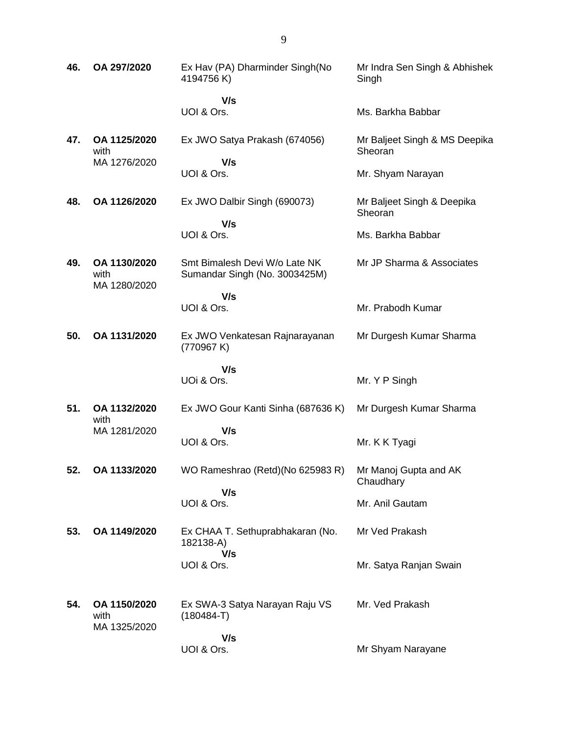| 46. | OA 297/2020                          | Ex Hav (PA) Dharminder Singh(No<br>4194756K)                   | Mr Indra Sen Singh & Abhishek<br>Singh   |
|-----|--------------------------------------|----------------------------------------------------------------|------------------------------------------|
|     |                                      | V/s<br>UOI & Ors.                                              | Ms. Barkha Babbar                        |
| 47. | OA 1125/2020<br>with                 | Ex JWO Satya Prakash (674056)                                  | Mr Baljeet Singh & MS Deepika<br>Sheoran |
|     | MA 1276/2020                         | V/s<br>UOI & Ors.                                              | Mr. Shyam Narayan                        |
| 48. | OA 1126/2020                         | Ex JWO Dalbir Singh (690073)<br>V/s                            | Mr Baljeet Singh & Deepika<br>Sheoran    |
|     |                                      | UOI & Ors.                                                     | Ms. Barkha Babbar                        |
| 49. | OA 1130/2020<br>with<br>MA 1280/2020 | Smt Bimalesh Devi W/o Late NK<br>Sumandar Singh (No. 3003425M) | Mr JP Sharma & Associates                |
|     |                                      | V/s<br>UOI & Ors.                                              | Mr. Prabodh Kumar                        |
| 50. | OA 1131/2020                         | Ex JWO Venkatesan Rajnarayanan<br>(770967K)                    | Mr Durgesh Kumar Sharma                  |
|     |                                      | V/s<br>UOi & Ors.                                              | Mr. Y P Singh                            |
| 51. | OA 1132/2020<br>with                 | Ex JWO Gour Kanti Sinha (687636 K)                             | Mr Durgesh Kumar Sharma                  |
|     | MA 1281/2020                         | V/s<br>UOI & Ors.                                              | Mr. K K Tyagi                            |
| 52. | OA 1133/2020                         | WO Rameshrao (Retd)(No 625983 R)                               | Mr Manoj Gupta and AK<br>Chaudhary       |
|     |                                      | V/s<br>UOI & Ors.                                              | Mr. Anil Gautam                          |
| 53. | OA 1149/2020                         | Ex CHAA T. Sethuprabhakaran (No.<br>182138-A)<br>V/s           | Mr Ved Prakash                           |
|     |                                      | UOI & Ors.                                                     | Mr. Satya Ranjan Swain                   |
| 54. | OA 1150/2020<br>with<br>MA 1325/2020 | Ex SWA-3 Satya Narayan Raju VS<br>$(180484-T)$                 | Mr. Ved Prakash                          |
|     |                                      | V/s<br>UOI & Ors.                                              | Mr Shyam Narayane                        |